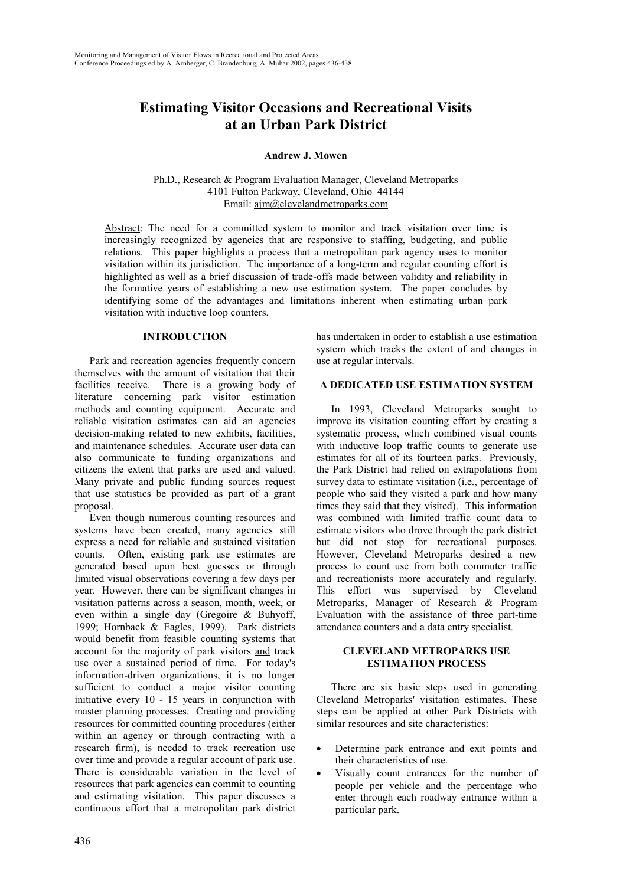# **Estimating Visitor Occasions and Recreational Visits at an Urban Park District**

**Andrew J. Mowen**

Ph.D., Research & Program Evaluation Manager, Cleveland Metroparks 4101 Fulton Parkway, Cleveland, Ohio 44144 Email: ajm@clevelandmetroparks.com

Abstract: The need for a committed system to monitor and track visitation over time is increasingly recognized by agencies that are responsive to staffing, budgeting, and public relations. This paper highlights a process that a metropolitan park agency uses to monitor visitation within its jurisdiction. The importance of a long-term and regular counting effort is highlighted as well as a brief discussion of trade-offs made between validity and reliability in the formative years of establishing a new use estimation system. The paper concludes by identifying some of the advantages and limitations inherent when estimating urban park visitation with inductive loop counters.

## **INTRODUCTION**

Park and recreation agencies frequently concern themselves with the amount of visitation that their facilities receive. There is a growing body of literature concerning park visitor estimation methods and counting equipment. Accurate and reliable visitation estimates can aid an agencies decision-making related to new exhibits, facilities, and maintenance schedules. Accurate user data can also communicate to funding organizations and citizens the extent that parks are used and valued. Many private and public funding sources request that use statistics be provided as part of a grant proposal.

Even though numerous counting resources and systems have been created, many agencies still express a need for reliable and sustained visitation counts. Often, existing park use estimates are generated based upon best guesses or through limited visual observations covering a few days per year. However, there can be significant changes in visitation patterns across a season, month, week, or even within a single day (Gregoire & Buhyoff, 1999; Hornback & Eagles, 1999). Park districts would benefit from feasible counting systems that account for the majority of park visitors and track use over a sustained period of time. For today's information-driven organizations, it is no longer sufficient to conduct a major visitor counting initiative every 10 - 15 years in conjunction with master planning processes. Creating and providing resources for committed counting procedures (either within an agency or through contracting with a research firm), is needed to track recreation use over time and provide a regular account of park use. There is considerable variation in the level of resources that park agencies can commit to counting and estimating visitation. This paper discusses a continuous effort that a metropolitan park district

has undertaken in order to establish a use estimation system which tracks the extent of and changes in use at regular intervals.

## **A DEDICATED USE ESTIMATION SYSTEM**

In 1993, Cleveland Metroparks sought to improve its visitation counting effort by creating a systematic process, which combined visual counts with inductive loop traffic counts to generate use estimates for all of its fourteen parks. Previously, the Park District had relied on extrapolations from survey data to estimate visitation (i.e., percentage of people who said they visited a park and how many times they said that they visited). This information was combined with limited traffic count data to estimate visitors who drove through the park district but did not stop for recreational purposes. However, Cleveland Metroparks desired a new process to count use from both commuter traffic and recreationists more accurately and regularly. This effort was supervised by Cleveland Metroparks, Manager of Research & Program Evaluation with the assistance of three part-time attendance counters and a data entry specialist.

## **CLEVELAND METROPARKS USE ESTIMATION PROCESS**

There are six basic steps used in generating Cleveland Metroparks' visitation estimates. These steps can be applied at other Park Districts with similar resources and site characteristics:

- Determine park entrance and exit points and their characteristics of use.
- Visually count entrances for the number of people per vehicle and the percentage who enter through each roadway entrance within a particular park.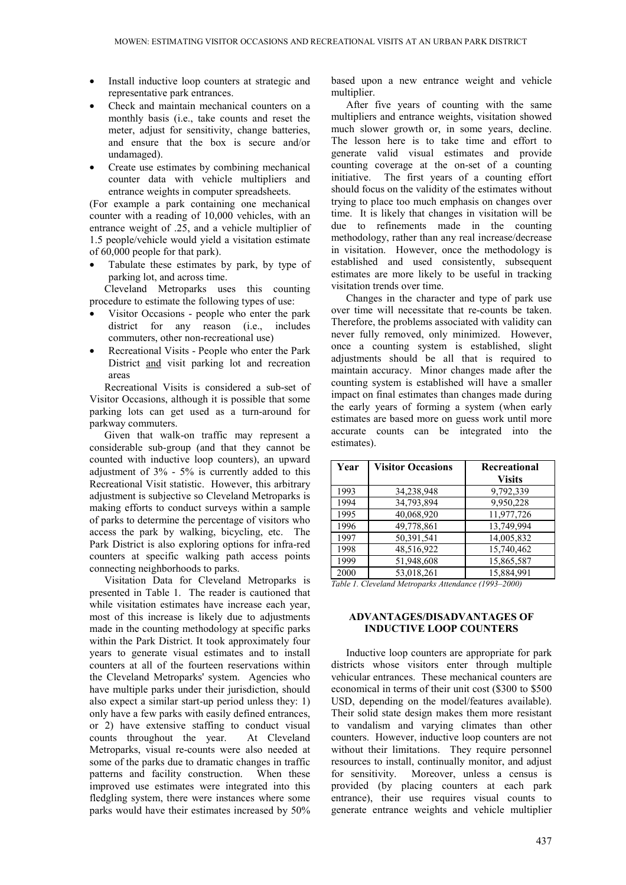- Install inductive loop counters at strategic and representative park entrances.
- Check and maintain mechanical counters on a monthly basis (i.e., take counts and reset the meter, adjust for sensitivity, change batteries, and ensure that the box is secure and/or undamaged).
- Create use estimates by combining mechanical counter data with vehicle multipliers and entrance weights in computer spreadsheets.

(For example a park containing one mechanical counter with a reading of 10,000 vehicles, with an entrance weight of .25, and a vehicle multiplier of 1.5 people/vehicle would yield a visitation estimate of 60,000 people for that park).

Tabulate these estimates by park, by type of parking lot, and across time.

Cleveland Metroparks uses this counting procedure to estimate the following types of use:

- Visitor Occasions people who enter the park district for any reason (i.e., includes commuters, other non-recreational use)
- Recreational Visits People who enter the Park District and visit parking lot and recreation areas

Recreational Visits is considered a sub-set of Visitor Occasions, although it is possible that some parking lots can get used as a turn-around for parkway commuters.

Given that walk-on traffic may represent a considerable sub-group (and that they cannot be counted with inductive loop counters), an upward adjustment of 3% - 5% is currently added to this Recreational Visit statistic. However, this arbitrary adjustment is subjective so Cleveland Metroparks is making efforts to conduct surveys within a sample of parks to determine the percentage of visitors who access the park by walking, bicycling, etc. The Park District is also exploring options for infra-red counters at specific walking path access points connecting neighborhoods to parks.

Visitation Data for Cleveland Metroparks is presented in Table 1. The reader is cautioned that while visitation estimates have increase each year, most of this increase is likely due to adjustments made in the counting methodology at specific parks within the Park District. It took approximately four years to generate visual estimates and to install counters at all of the fourteen reservations within the Cleveland Metroparks' system. Agencies who have multiple parks under their jurisdiction, should also expect a similar start-up period unless they: 1) only have a few parks with easily defined entrances, or 2) have extensive staffing to conduct visual counts throughout the year. At Cleveland Metroparks, visual re-counts were also needed at some of the parks due to dramatic changes in traffic patterns and facility construction. When these improved use estimates were integrated into this fledgling system, there were instances where some parks would have their estimates increased by 50%

based upon a new entrance weight and vehicle multiplier.

After five years of counting with the same multipliers and entrance weights, visitation showed much slower growth or, in some years, decline. The lesson here is to take time and effort to generate valid visual estimates and provide counting coverage at the on-set of a counting initiative. The first years of a counting effort should focus on the validity of the estimates without trying to place too much emphasis on changes over time. It is likely that changes in visitation will be due to refinements made in the counting methodology, rather than any real increase/decrease in visitation. However, once the methodology is established and used consistently, subsequent estimates are more likely to be useful in tracking visitation trends over time.

Changes in the character and type of park use over time will necessitate that re-counts be taken. Therefore, the problems associated with validity can never fully removed, only minimized. However, once a counting system is established, slight adjustments should be all that is required to maintain accuracy. Minor changes made after the counting system is established will have a smaller impact on final estimates than changes made during the early years of forming a system (when early estimates are based more on guess work until more accurate counts can be integrated into the estimates).

| Year | <b>Visitor Occasions</b> | Recreational<br><b>Visits</b> |
|------|--------------------------|-------------------------------|
| 1993 | 34,238,948               | 9,792,339                     |
| 1994 | 34,793,894               | 9,950,228                     |
| 1995 | 40,068,920               | 11,977,726                    |
| 1996 | 49,778,861               | 13,749,994                    |
| 1997 | 50,391,541               | 14,005,832                    |
| 1998 | 48,516,922               | 15,740,462                    |
| 1999 | 51,948,608               | 15,865,587                    |
| 2000 | 53,018,261               | 15,884,991                    |

*Table 1. Cleveland Metroparks Attendance (1993–2000)*

#### **ADVANTAGES/DISADVANTAGES OF INDUCTIVE LOOP COUNTERS**

Inductive loop counters are appropriate for park districts whose visitors enter through multiple vehicular entrances. These mechanical counters are economical in terms of their unit cost (\$300 to \$500 USD, depending on the model/features available). Their solid state design makes them more resistant to vandalism and varying climates than other counters. However, inductive loop counters are not without their limitations. They require personnel resources to install, continually monitor, and adjust for sensitivity. Moreover, unless a census is provided (by placing counters at each park entrance), their use requires visual counts to generate entrance weights and vehicle multiplier